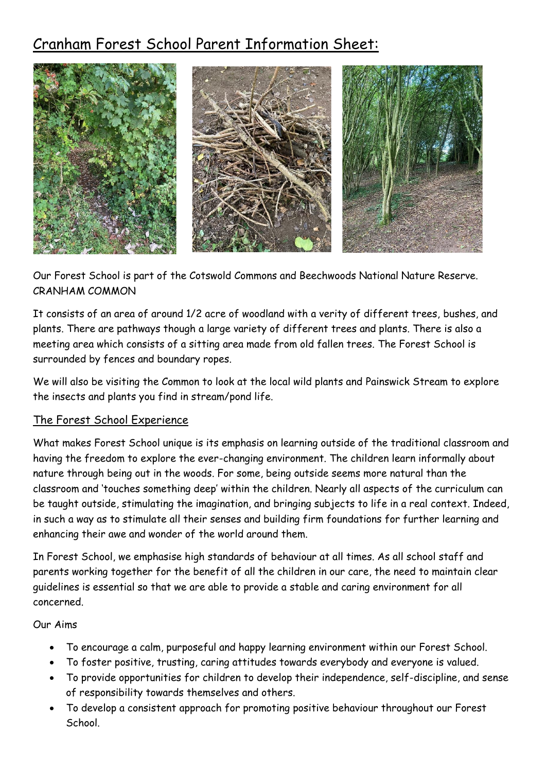# Cranham Forest School Parent Information Sheet:



Our Forest School is part of the Cotswold Commons and Beechwoods National Nature Reserve. CRANHAM COMMON

It consists of an area of around 1/2 acre of woodland with a verity of different trees, bushes, and plants. There are pathways though a large variety of different trees and plants. There is also a meeting area which consists of a sitting area made from old fallen trees. The Forest School is surrounded by fences and boundary ropes.

We will also be visiting the Common to look at the local wild plants and Painswick Stream to explore the insects and plants you find in stream/pond life.

## The Forest School Experience

What makes Forest School unique is its emphasis on learning outside of the traditional classroom and having the freedom to explore the ever-changing environment. The children learn informally about nature through being out in the woods. For some, being outside seems more natural than the classroom and 'touches something deep' within the children. Nearly all aspects of the curriculum can be taught outside, stimulating the imagination, and bringing subjects to life in a real context. Indeed, in such a way as to stimulate all their senses and building firm foundations for further learning and enhancing their awe and wonder of the world around them.

In Forest School, we emphasise high standards of behaviour at all times. As all school staff and parents working together for the benefit of all the children in our care, the need to maintain clear guidelines is essential so that we are able to provide a stable and caring environment for all concerned.

### Our Aims

- To encourage a calm, purposeful and happy learning environment within our Forest School.
- To foster positive, trusting, caring attitudes towards everybody and everyone is valued.
- To provide opportunities for children to develop their independence, self-discipline, and sense of responsibility towards themselves and others.
- To develop a consistent approach for promoting positive behaviour throughout our Forest School.